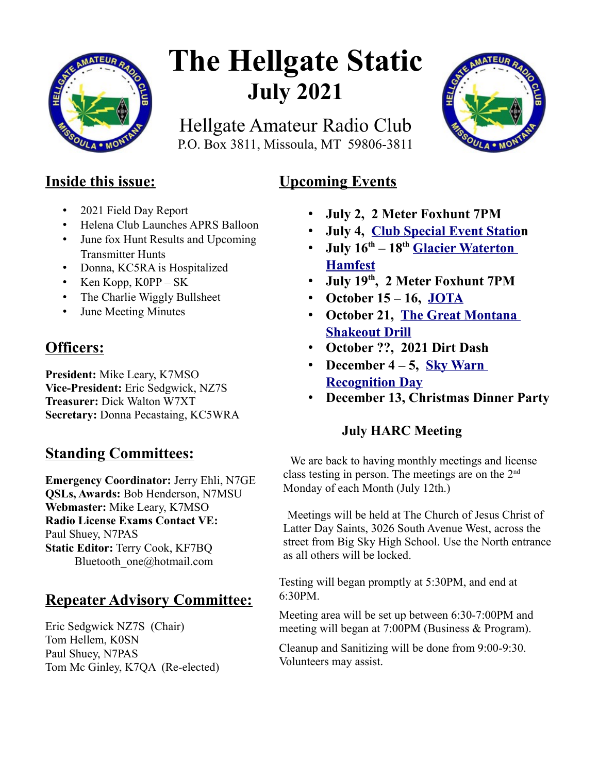

# **The Hellgate Static July 2021**

Hellgate Amateur Radio Club P.O. Box 3811, Missoula, MT 59806-3811

**Upcoming Events** 



## **Inside this issue:**

- 2021 Field Day Report
- Helena Club Launches APRS Balloon
- June fox Hunt Results and Upcoming Transmitter Hunts
- Donna, KC5RA is Hospitalized
- Ken Kopp, K0PP SK
- The Charlie Wiggly Bullsheet
- June Meeting Minutes

# **Officers:**

**President:** Mike Leary, K7MSO **Vice-President:** Eric Sedgwick, NZ7S **Treasurer:** Dick Walton W7XT **Secretary:** Donna Pecastaing, KC5WRA

## **Standing Committees:**

**Emergency Coordinator:** Jerry Ehli, N7GE **QSLs, Awards:** Bob Henderson, N7MSU **Webmaster:** Mike Leary, K7MSO **Radio License Exams Contact VE:** Paul Shuey, N7PAS **Static Editor:** Terry Cook, KF7BQ Bluetooth\_one@hotmail.com

# **Repeater Advisory Committee:**

Eric Sedgwick NZ7S (Chair) Tom Hellem, K0SN Paul Shuey, N7PAS Tom Mc Ginley, K7QA (Re-elected)

## • **July 2, 2 Meter Foxhunt 7PM**

- **July 4, [Club Special Event Station](https://www.w7px.org/meetings-and-events/#fourth-of-july)**
- **July 16th 18th [Glacier Waterton](https://www.gwhamfest.org/)  [Hamfest](https://www.gwhamfest.org/)**
- **July 19th, 2 Meter Foxhunt 7PM**
- **October 15 16, [JOTA](https://www.w7px.org/meetings-and-events/#jota)**
- **October 21, [The Great Montana](https://www.w7px.org/meetings-and-events/#shakeout)  [Shakeout Drill](https://www.w7px.org/meetings-and-events/#shakeout)**
- **October ??, 2021 Dirt Dash**
- **December 4 5, [Sky Warn](http://www.arrl.org/skywarn-recognition-day)  [Recognition Day](http://www.arrl.org/skywarn-recognition-day)**
- **December 13, Christmas Dinner Party**

## **July HARC Meeting**

We are back to having monthly meetings and license class testing in person. The meetings are on the  $2<sup>nd</sup>$ Monday of each Month (July 12th.)

Meetings will be held at The Church of Jesus Christ of Latter Day Saints, 3026 South Avenue West, across the street from Big Sky High School. Use the North entrance as all others will be locked.

Testing will began promptly at 5:30PM, and end at 6:30PM.

Meeting area will be set up between 6:30-7:00PM and meeting will began at 7:00PM (Business & Program).

Cleanup and Sanitizing will be done from 9:00-9:30. Volunteers may assist.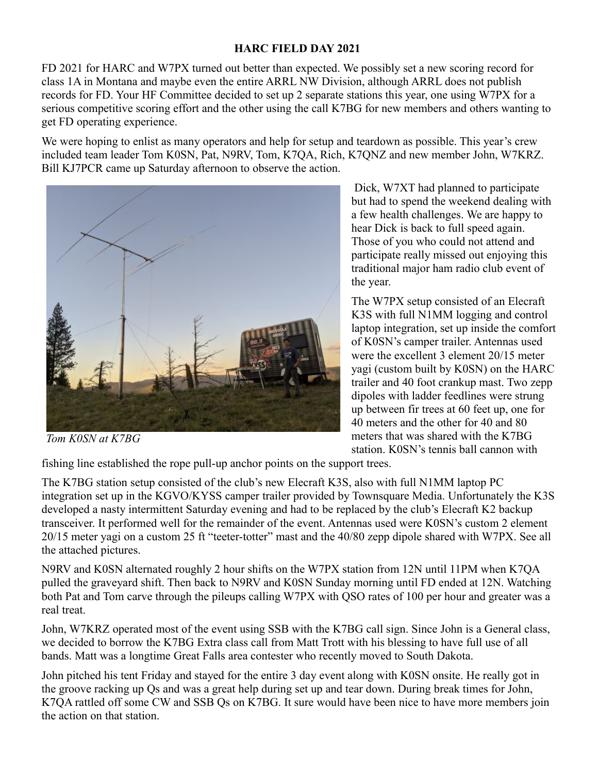#### **HARC FIELD DAY 2021**

FD 2021 for HARC and W7PX turned out better than expected. We possibly set a new scoring record for class 1A in Montana and maybe even the entire ARRL NW Division, although ARRL does not publish records for FD. Your HF Committee decided to set up 2 separate stations this year, one using W7PX for a serious competitive scoring effort and the other using the call K7BG for new members and others wanting to get FD operating experience.

We were hoping to enlist as many operators and help for setup and teardown as possible. This year's crew included team leader Tom K0SN, Pat, N9RV, Tom, K7QA, Rich, K7QNZ and new member John, W7KRZ. Bill KJ7PCR came up Saturday afternoon to observe the action.



*Tom K0SN at K7BG*

 Dick, W7XT had planned to participate but had to spend the weekend dealing with a few health challenges. We are happy to hear Dick is back to full speed again. Those of you who could not attend and participate really missed out enjoying this traditional major ham radio club event of the year.

The W7PX setup consisted of an Elecraft K3S with full N1MM logging and control laptop integration, set up inside the comfort of K0SN's camper trailer. Antennas used were the excellent 3 element 20/15 meter yagi (custom built by K0SN) on the HARC trailer and 40 foot crankup mast. Two zepp dipoles with ladder feedlines were strung up between fir trees at 60 feet up, one for 40 meters and the other for 40 and 80 meters that was shared with the K7BG station. K0SN's tennis ball cannon with

fishing line established the rope pull-up anchor points on the support trees.

The K7BG station setup consisted of the club's new Elecraft K3S, also with full N1MM laptop PC integration set up in the KGVO/KYSS camper trailer provided by Townsquare Media. Unfortunately the K3S developed a nasty intermittent Saturday evening and had to be replaced by the club's Elecraft K2 backup transceiver. It performed well for the remainder of the event. Antennas used were K0SN's custom 2 element 20/15 meter yagi on a custom 25 ft "teeter-totter" mast and the 40/80 zepp dipole shared with W7PX. See all the attached pictures.

N9RV and K0SN alternated roughly 2 hour shifts on the W7PX station from 12N until 11PM when K7QA pulled the graveyard shift. Then back to N9RV and K0SN Sunday morning until FD ended at 12N. Watching both Pat and Tom carve through the pileups calling W7PX with QSO rates of 100 per hour and greater was a real treat.

John, W7KRZ operated most of the event using SSB with the K7BG call sign. Since John is a General class, we decided to borrow the K7BG Extra class call from Matt Trott with his blessing to have full use of all bands. Matt was a longtime Great Falls area contester who recently moved to South Dakota.

John pitched his tent Friday and stayed for the entire 3 day event along with K0SN onsite. He really got in the groove racking up Qs and was a great help during set up and tear down. During break times for John, K7QA rattled off some CW and SSB Qs on K7BG. It sure would have been nice to have more members join the action on that station.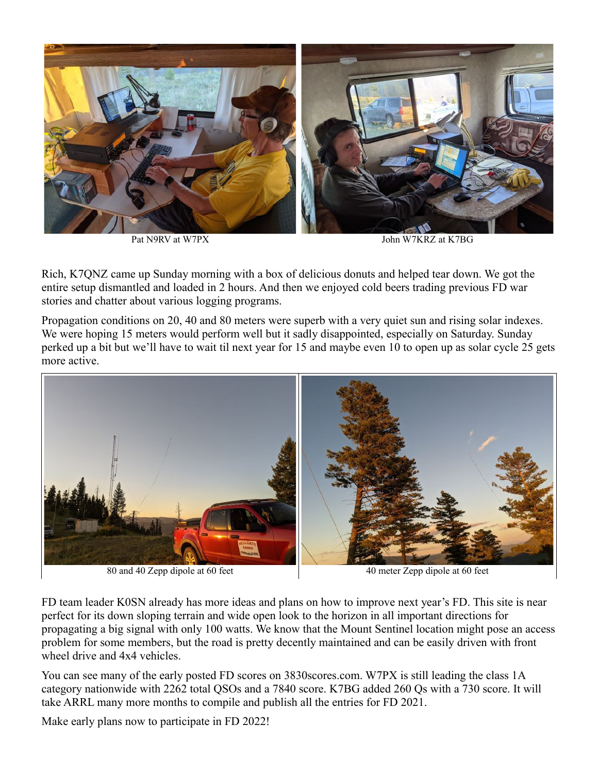

Pat N9RV at W7PX John W7KRZ at K7BG

Rich, K7QNZ came up Sunday morning with a box of delicious donuts and helped tear down. We got the entire setup dismantled and loaded in 2 hours. And then we enjoyed cold beers trading previous FD war stories and chatter about various logging programs.

Propagation conditions on 20, 40 and 80 meters were superb with a very quiet sun and rising solar indexes. We were hoping 15 meters would perform well but it sadly disappointed, especially on Saturday. Sunday perked up a bit but we'll have to wait til next year for 15 and maybe even 10 to open up as solar cycle 25 gets more active.



FD team leader K0SN already has more ideas and plans on how to improve next year's FD. This site is near perfect for its down sloping terrain and wide open look to the horizon in all important directions for propagating a big signal with only 100 watts. We know that the Mount Sentinel location might pose an access problem for some members, but the road is pretty decently maintained and can be easily driven with front wheel drive and 4x4 vehicles.

You can see many of the early posted FD scores on 3830scores.com. W7PX is still leading the class 1A category nationwide with 2262 total QSOs and a 7840 score. K7BG added 260 Qs with a 730 score. It will take ARRL many more months to compile and publish all the entries for FD 2021.

Make early plans now to participate in FD 2022!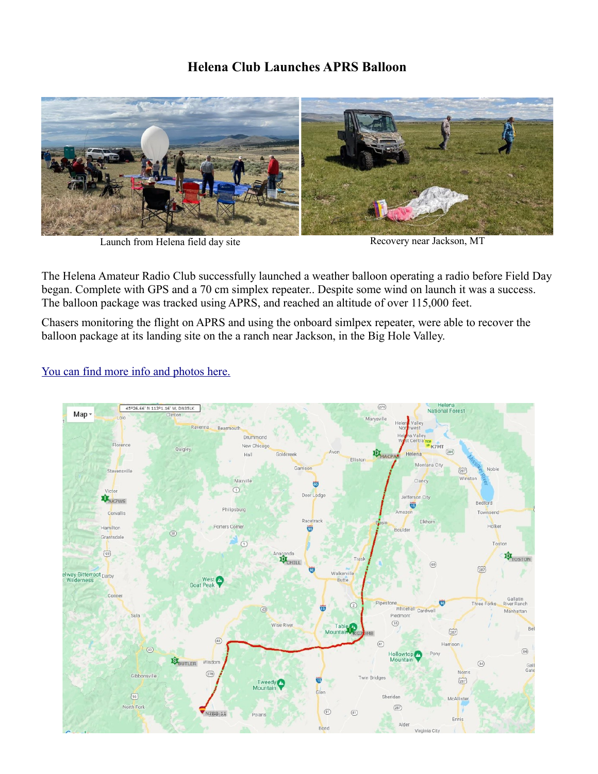#### **Helena Club Launches APRS Balloon**



Launch from Helena field day site Recovery near Jackson, MT

The Helena Amateur Radio Club successfully launched a weather balloon operating a radio before Field Day began. Complete with GPS and a 70 cm simplex repeater.. Despite some wind on launch it was a success. The balloon package was tracked using APRS, and reached an altitude of over 115,000 feet.

Chasers monitoring the flight on APRS and using the onboard simlpex repeater, were able to recover the balloon package at its landing site on the a ranch near Jackson, in the Big Hole Valley.

#### [You can find more info and photos here.](https://sites.google.com/view/ccarcfieldday2021/home?fbclid=IwAR1xpooiL9nbU4-zhuu2PRTrTSjGncn6vYT2LPaL7AROoza_P260s9bsY58)

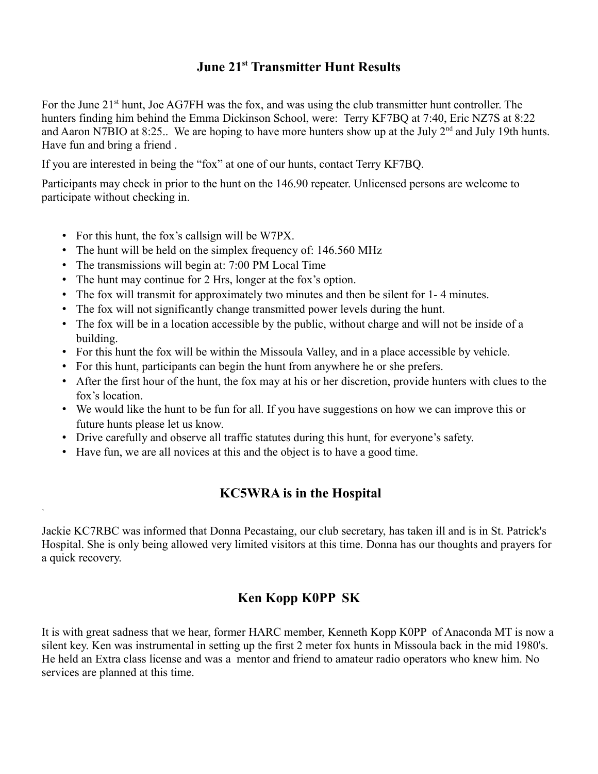## **June 21st Transmitter Hunt Results**

For the June 21<sup>st</sup> hunt, Joe AG7FH was the fox, and was using the club transmitter hunt controller. The hunters finding him behind the Emma Dickinson School, were: Terry KF7BQ at 7:40, Eric NZ7S at 8:22 and Aaron N7BIO at 8:25.. We are hoping to have more hunters show up at the July 2<sup>nd</sup> and July 19th hunts. Have fun and bring a friend .

If you are interested in being the "fox" at one of our hunts, contact Terry KF7BQ.

Participants may check in prior to the hunt on the 146.90 repeater. Unlicensed persons are welcome to participate without checking in.

• For this hunt, the fox's callsign will be W7PX.

`

- The hunt will be held on the simplex frequency of: 146.560 MHz
- The transmissions will begin at: 7:00 PM Local Time
- The hunt may continue for 2 Hrs, longer at the fox's option.
- The fox will transmit for approximately two minutes and then be silent for 1- 4 minutes.
- The fox will not significantly change transmitted power levels during the hunt.
- The fox will be in a location accessible by the public, without charge and will not be inside of a building.
- For this hunt the fox will be within the Missoula Valley, and in a place accessible by vehicle.
- For this hunt, participants can begin the hunt from anywhere he or she prefers.
- After the first hour of the hunt, the fox may at his or her discretion, provide hunters with clues to the fox's location.
- We would like the hunt to be fun for all. If you have suggestions on how we can improve this or future hunts please let us know.
- Drive carefully and observe all traffic statutes during this hunt, for everyone's safety.
- Have fun, we are all novices at this and the object is to have a good time.

#### **KC5WRA is in the Hospital**

Jackie KC7RBC was informed that Donna Pecastaing, our club secretary, has taken ill and is in St. Patrick's Hospital. She is only being allowed very limited visitors at this time. Donna has our thoughts and prayers for a quick recovery.

#### **Ken Kopp K0PP SK**

It is with great sadness that we hear, former HARC member, Kenneth Kopp K0PP of Anaconda MT is now a silent key. Ken was instrumental in setting up the first 2 meter fox hunts in Missoula back in the mid 1980's. He held an Extra class license and was a mentor and friend to amateur radio operators who knew him. No services are planned at this time.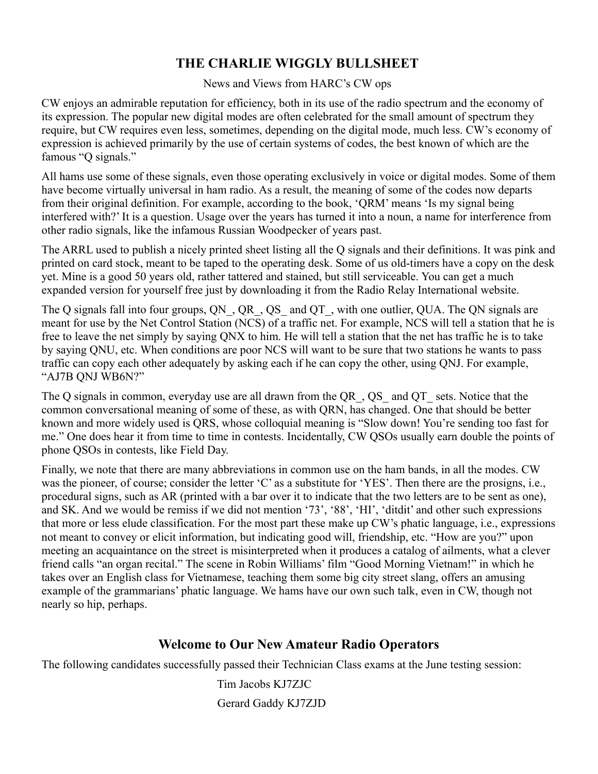### **THE CHARLIE WIGGLY BULLSHEET**

News and Views from HARC's CW ops

CW enjoys an admirable reputation for efficiency, both in its use of the radio spectrum and the economy of its expression. The popular new digital modes are often celebrated for the small amount of spectrum they require, but CW requires even less, sometimes, depending on the digital mode, much less. CW's economy of expression is achieved primarily by the use of certain systems of codes, the best known of which are the famous "Q signals."

All hams use some of these signals, even those operating exclusively in voice or digital modes. Some of them have become virtually universal in ham radio. As a result, the meaning of some of the codes now departs from their original definition. For example, according to the book, 'QRM' means 'Is my signal being interfered with?' It is a question. Usage over the years has turned it into a noun, a name for interference from other radio signals, like the infamous Russian Woodpecker of years past.

The ARRL used to publish a nicely printed sheet listing all the Q signals and their definitions. It was pink and printed on card stock, meant to be taped to the operating desk. Some of us old-timers have a copy on the desk yet. Mine is a good 50 years old, rather tattered and stained, but still serviceable. You can get a much expanded version for yourself free just by downloading it from the Radio Relay International website.

The Q signals fall into four groups, QN, QR, QS and QT, with one outlier, QUA. The QN signals are meant for use by the Net Control Station (NCS) of a traffic net. For example, NCS will tell a station that he is free to leave the net simply by saying QNX to him. He will tell a station that the net has traffic he is to take by saying QNU, etc. When conditions are poor NCS will want to be sure that two stations he wants to pass traffic can copy each other adequately by asking each if he can copy the other, using QNJ. For example, "AJ7B QNJ WB6N?"

The Q signals in common, everyday use are all drawn from the QR\_, QS\_ and QT\_ sets. Notice that the common conversational meaning of some of these, as with QRN, has changed. One that should be better known and more widely used is QRS, whose colloquial meaning is "Slow down! You're sending too fast for me." One does hear it from time to time in contests. Incidentally, CW QSOs usually earn double the points of phone QSOs in contests, like Field Day.

Finally, we note that there are many abbreviations in common use on the ham bands, in all the modes. CW was the pioneer, of course; consider the letter 'C' as a substitute for 'YES'. Then there are the prosigns, i.e., procedural signs, such as AR (printed with a bar over it to indicate that the two letters are to be sent as one), and SK. And we would be remiss if we did not mention '73', '88', 'HI', 'ditdit' and other such expressions that more or less elude classification. For the most part these make up CW's phatic language, i.e., expressions not meant to convey or elicit information, but indicating good will, friendship, etc. "How are you?" upon meeting an acquaintance on the street is misinterpreted when it produces a catalog of ailments, what a clever friend calls "an organ recital." The scene in Robin Williams' film "Good Morning Vietnam!" in which he takes over an English class for Vietnamese, teaching them some big city street slang, offers an amusing example of the grammarians' phatic language. We hams have our own such talk, even in CW, though not nearly so hip, perhaps.

#### **Welcome to Our New Amateur Radio Operators**

The following candidates successfully passed their Technician Class exams at the June testing session:

 Tim Jacobs KJ7ZJC Gerard Gaddy KJ7ZJD